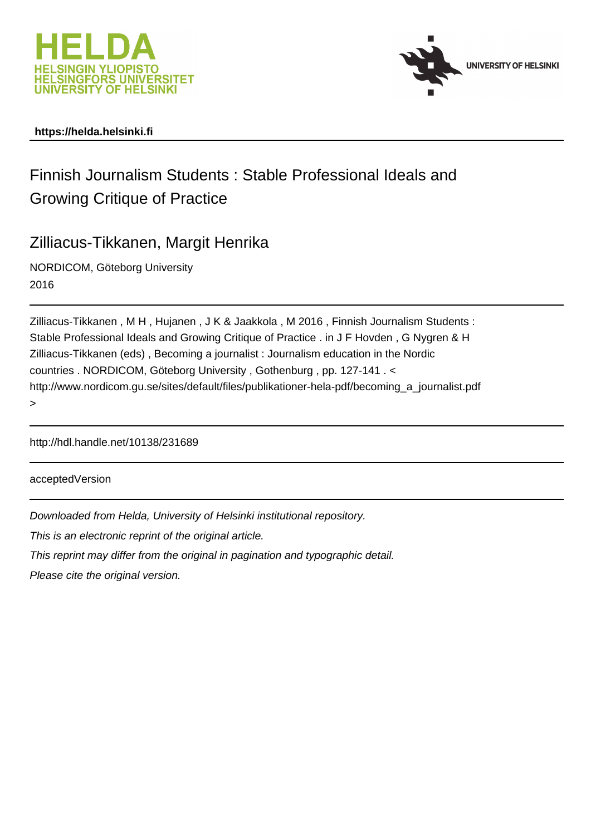



#### **https://helda.helsinki.fi**

# Finnish Journalism Students : Stable Professional Ideals and Growing Critique of Practice

## Zilliacus-Tikkanen, Margit Henrika

NORDICOM, Göteborg University 2016

Zilliacus-Tikkanen , M H , Hujanen , J K & Jaakkola , M 2016 , Finnish Journalism Students : Stable Professional Ideals and Growing Critique of Practice . in J F Hovden , G Nygren & H Zilliacus-Tikkanen (eds) , Becoming a journalist : Journalism education in the Nordic countries . NORDICOM, Göteborg University , Gothenburg , pp. 127-141 . < http://www.nordicom.gu.se/sites/default/files/publikationer-hela-pdf/becoming\_a\_journalist.pdf >

http://hdl.handle.net/10138/231689

acceptedVersion

Downloaded from Helda, University of Helsinki institutional repository.

This is an electronic reprint of the original article.

This reprint may differ from the original in pagination and typographic detail.

Please cite the original version.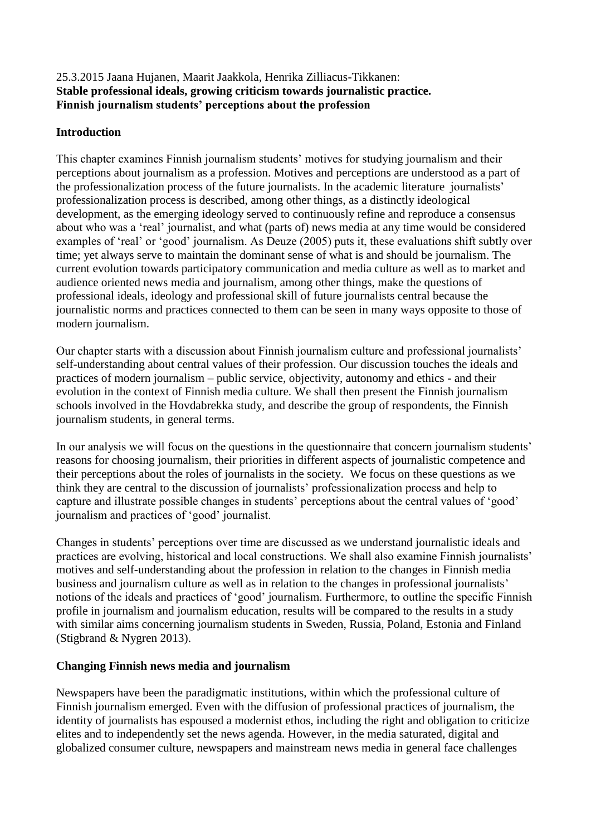#### 25.3.2015 Jaana Hujanen, Maarit Jaakkola, Henrika Zilliacus-Tikkanen: **Stable professional ideals, growing criticism towards journalistic practice. Finnish journalism students' perceptions about the profession**

#### **Introduction**

This chapter examines Finnish journalism students' motives for studying journalism and their perceptions about journalism as a profession. Motives and perceptions are understood as a part of the professionalization process of the future journalists. In the academic literature journalists' professionalization process is described, among other things, as a distinctly ideological development, as the emerging ideology served to continuously refine and reproduce a consensus about who was a 'real' journalist, and what (parts of) news media at any time would be considered examples of 'real' or 'good' journalism. As Deuze (2005) puts it, these evaluations shift subtly over time; yet always serve to maintain the dominant sense of what is and should be journalism. The current evolution towards participatory communication and media culture as well as to market and audience oriented news media and journalism, among other things, make the questions of professional ideals, ideology and professional skill of future journalists central because the journalistic norms and practices connected to them can be seen in many ways opposite to those of modern journalism.

Our chapter starts with a discussion about Finnish journalism culture and professional journalists' self-understanding about central values of their profession. Our discussion touches the ideals and practices of modern journalism – public service, objectivity, autonomy and ethics - and their evolution in the context of Finnish media culture. We shall then present the Finnish journalism schools involved in the Hovdabrekka study, and describe the group of respondents, the Finnish journalism students, in general terms.

In our analysis we will focus on the questions in the questionnaire that concern journalism students' reasons for choosing journalism, their priorities in different aspects of journalistic competence and their perceptions about the roles of journalists in the society. We focus on these questions as we think they are central to the discussion of journalists' professionalization process and help to capture and illustrate possible changes in students' perceptions about the central values of 'good' journalism and practices of 'good' journalist.

Changes in students' perceptions over time are discussed as we understand journalistic ideals and practices are evolving, historical and local constructions. We shall also examine Finnish journalists' motives and self-understanding about the profession in relation to the changes in Finnish media business and journalism culture as well as in relation to the changes in professional journalists' notions of the ideals and practices of 'good' journalism. Furthermore, to outline the specific Finnish profile in journalism and journalism education, results will be compared to the results in a study with similar aims concerning journalism students in Sweden, Russia, Poland, Estonia and Finland (Stigbrand & Nygren 2013).

#### **Changing Finnish news media and journalism**

Newspapers have been the paradigmatic institutions, within which the professional culture of Finnish journalism emerged. Even with the diffusion of professional practices of journalism, the identity of journalists has espoused a modernist ethos, including the right and obligation to criticize elites and to independently set the news agenda. However, in the media saturated, digital and globalized consumer culture, newspapers and mainstream news media in general face challenges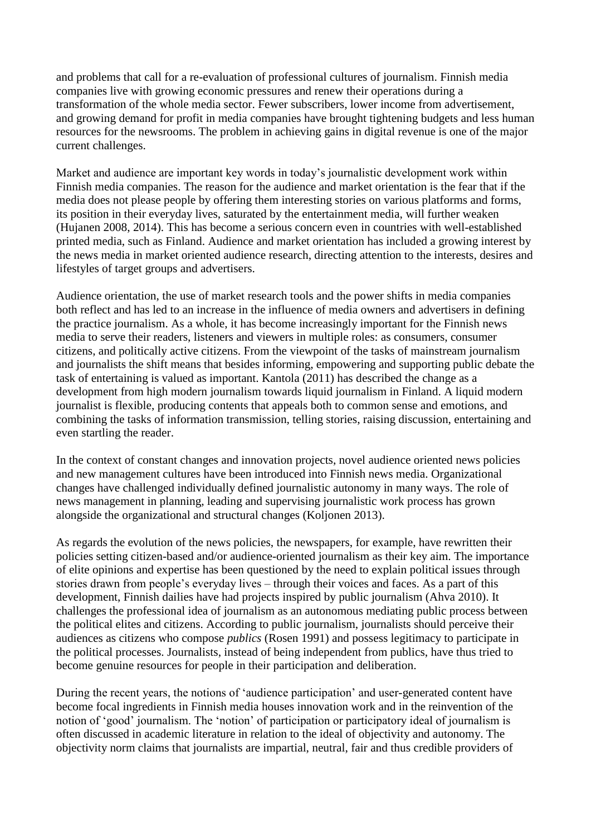and problems that call for a re-evaluation of professional cultures of journalism. Finnish media companies live with growing economic pressures and renew their operations during a transformation of the whole media sector. Fewer subscribers, lower income from advertisement, and growing demand for profit in media companies have brought tightening budgets and less human resources for the newsrooms. The problem in achieving gains in digital revenue is one of the major current challenges.

Market and audience are important key words in today's journalistic development work within Finnish media companies. The reason for the audience and market orientation is the fear that if the media does not please people by offering them interesting stories on various platforms and forms, its position in their everyday lives, saturated by the entertainment media, will further weaken (Hujanen 2008, 2014). This has become a serious concern even in countries with well-established printed media, such as Finland. Audience and market orientation has included a growing interest by the news media in market oriented audience research, directing attention to the interests, desires and lifestyles of target groups and advertisers.

Audience orientation, the use of market research tools and the power shifts in media companies both reflect and has led to an increase in the influence of media owners and advertisers in defining the practice journalism. As a whole, it has become increasingly important for the Finnish news media to serve their readers, listeners and viewers in multiple roles: as consumers, consumer citizens, and politically active citizens. From the viewpoint of the tasks of mainstream journalism and journalists the shift means that besides informing, empowering and supporting public debate the task of entertaining is valued as important. Kantola (2011) has described the change as a development from high modern journalism towards liquid journalism in Finland. A liquid modern journalist is flexible, producing contents that appeals both to common sense and emotions, and combining the tasks of information transmission, telling stories, raising discussion, entertaining and even startling the reader.

In the context of constant changes and innovation projects, novel audience oriented news policies and new management cultures have been introduced into Finnish news media. Organizational changes have challenged individually defined journalistic autonomy in many ways. The role of news management in planning, leading and supervising journalistic work process has grown alongside the organizational and structural changes (Koljonen 2013).

As regards the evolution of the news policies, the newspapers, for example, have rewritten their policies setting citizen-based and/or audience-oriented journalism as their key aim. The importance of elite opinions and expertise has been questioned by the need to explain political issues through stories drawn from people's everyday lives – through their voices and faces. As a part of this development, Finnish dailies have had projects inspired by public journalism (Ahva 2010). It challenges the professional idea of journalism as an autonomous mediating public process between the political elites and citizens. According to public journalism, journalists should perceive their audiences as citizens who compose *publics* (Rosen 1991) and possess legitimacy to participate in the political processes. Journalists, instead of being independent from publics, have thus tried to become genuine resources for people in their participation and deliberation.

During the recent years, the notions of 'audience participation' and user-generated content have become focal ingredients in Finnish media houses innovation work and in the reinvention of the notion of 'good' journalism. The 'notion' of participation or participatory ideal of journalism is often discussed in academic literature in relation to the ideal of objectivity and autonomy. The objectivity norm claims that journalists are impartial, neutral, fair and thus credible providers of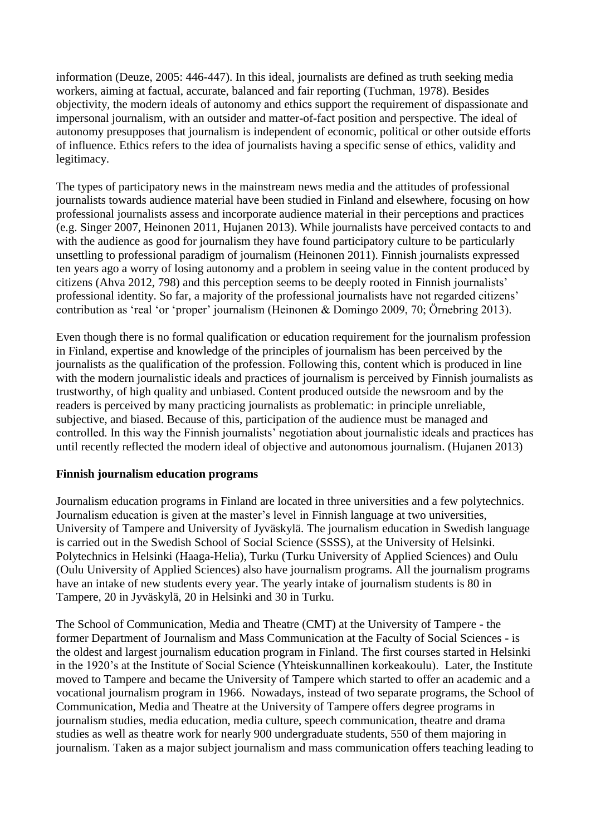information (Deuze, 2005: 446-447). In this ideal, journalists are defined as truth seeking media workers, aiming at factual, accurate, balanced and fair reporting (Tuchman, 1978). Besides objectivity, the modern ideals of autonomy and ethics support the requirement of dispassionate and impersonal journalism, with an outsider and matter-of-fact position and perspective. The ideal of autonomy presupposes that journalism is independent of economic, political or other outside efforts of influence. Ethics refers to the idea of journalists having a specific sense of ethics, validity and legitimacy.

The types of participatory news in the mainstream news media and the attitudes of professional journalists towards audience material have been studied in Finland and elsewhere, focusing on how professional journalists assess and incorporate audience material in their perceptions and practices (e.g. Singer 2007, Heinonen 2011, Hujanen 2013). While journalists have perceived contacts to and with the audience as good for journalism they have found participatory culture to be particularly unsettling to professional paradigm of journalism (Heinonen 2011). Finnish journalists expressed ten years ago a worry of losing autonomy and a problem in seeing value in the content produced by citizens (Ahva 2012, 798) and this perception seems to be deeply rooted in Finnish journalists' professional identity. So far, a majority of the professional journalists have not regarded citizens' contribution as 'real 'or 'proper' journalism (Heinonen & Domingo 2009, 70; Örnebring 2013).

Even though there is no formal qualification or education requirement for the journalism profession in Finland, expertise and knowledge of the principles of journalism has been perceived by the journalists as the qualification of the profession. Following this, content which is produced in line with the modern journalistic ideals and practices of journalism is perceived by Finnish journalists as trustworthy, of high quality and unbiased. Content produced outside the newsroom and by the readers is perceived by many practicing journalists as problematic: in principle unreliable, subjective, and biased. Because of this, participation of the audience must be managed and controlled. In this way the Finnish journalists' negotiation about journalistic ideals and practices has until recently reflected the modern ideal of objective and autonomous journalism. (Hujanen 2013)

#### **Finnish journalism education programs**

Journalism education programs in Finland are located in three universities and a few polytechnics. Journalism education is given at the master's level in Finnish language at two universities, University of Tampere and University of Jyväskylä. The journalism education in Swedish language is carried out in the Swedish School of Social Science (SSSS), at the University of Helsinki. Polytechnics in Helsinki (Haaga-Helia), Turku (Turku University of Applied Sciences) and Oulu (Oulu University of Applied Sciences) also have journalism programs. All the journalism programs have an intake of new students every year. The yearly intake of journalism students is 80 in Tampere, 20 in Jyväskylä, 20 in Helsinki and 30 in Turku.

The School of Communication, Media and Theatre (CMT) at the University of Tampere - the former Department of Journalism and Mass Communication at the Faculty of Social Sciences - is the oldest and largest journalism education program in Finland. The first courses started in Helsinki in the 1920's at the Institute of Social Science (Yhteiskunnallinen korkeakoulu). Later, the Institute moved to Tampere and became the University of Tampere which started to offer an academic and a vocational journalism program in 1966. Nowadays, instead of two separate programs, the School of Communication, Media and Theatre at the University of Tampere offers degree programs in journalism studies, media education, media culture, speech communication, theatre and drama studies as well as theatre work for nearly 900 undergraduate students, 550 of them majoring in journalism. Taken as a major subject journalism and mass communication offers teaching leading to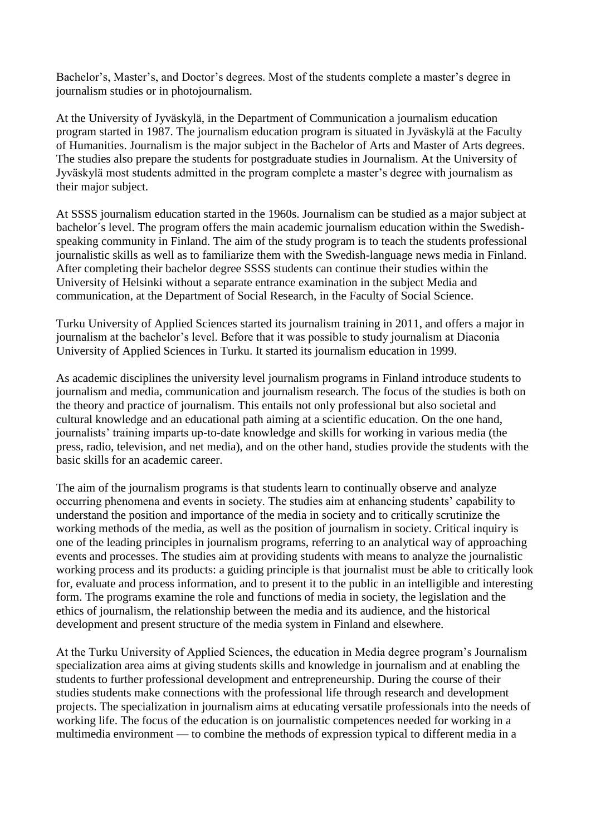Bachelor's, Master's, and Doctor's degrees. Most of the students complete a master's degree in journalism studies or in photojournalism.

At the University of Jyväskylä, in the Department of Communication a journalism education program started in 1987. The journalism education program is situated in Jyväskylä at the Faculty of Humanities. Journalism is the major subject in the Bachelor of Arts and Master of Arts degrees. The studies also prepare the students for postgraduate studies in Journalism. At the University of Jyväskylä most students admitted in the program complete a master's degree with journalism as their major subject.

At SSSS journalism education started in the 1960s. Journalism can be studied as a major subject at bachelor´s level. The program offers the main academic journalism education within the Swedishspeaking community in Finland. The aim of the study program is to teach the students professional journalistic skills as well as to familiarize them with the Swedish-language news media in Finland. After completing their bachelor degree SSSS students can continue their studies within the University of Helsinki without a separate entrance examination in the subject Media and communication, at the Department of Social Research, in the Faculty of Social Science.

Turku University of Applied Sciences started its journalism training in 2011, and offers a major in journalism at the bachelor's level. Before that it was possible to study journalism at Diaconia University of Applied Sciences in Turku. It started its journalism education in 1999.

As academic disciplines the university level journalism programs in Finland introduce students to journalism and media, communication and journalism research. The focus of the studies is both on the theory and practice of journalism. This entails not only professional but also societal and cultural knowledge and an educational path aiming at a scientific education. On the one hand, journalists' training imparts up-to-date knowledge and skills for working in various media (the press, radio, television, and net media), and on the other hand, studies provide the students with the basic skills for an academic career.

The aim of the journalism programs is that students learn to continually observe and analyze occurring phenomena and events in society. The studies aim at enhancing students' capability to understand the position and importance of the media in society and to critically scrutinize the working methods of the media, as well as the position of journalism in society. Critical inquiry is one of the leading principles in journalism programs, referring to an analytical way of approaching events and processes. The studies aim at providing students with means to analyze the journalistic working process and its products: a guiding principle is that journalist must be able to critically look for, evaluate and process information, and to present it to the public in an intelligible and interesting form. The programs examine the role and functions of media in society, the legislation and the ethics of journalism, the relationship between the media and its audience, and the historical development and present structure of the media system in Finland and elsewhere.

At the Turku University of Applied Sciences, the education in Media degree program's Journalism specialization area aims at giving students skills and knowledge in journalism and at enabling the students to further professional development and entrepreneurship. During the course of their studies students make connections with the professional life through research and development projects. The specialization in journalism aims at educating versatile professionals into the needs of working life. The focus of the education is on journalistic competences needed for working in a multimedia environment — to combine the methods of expression typical to different media in a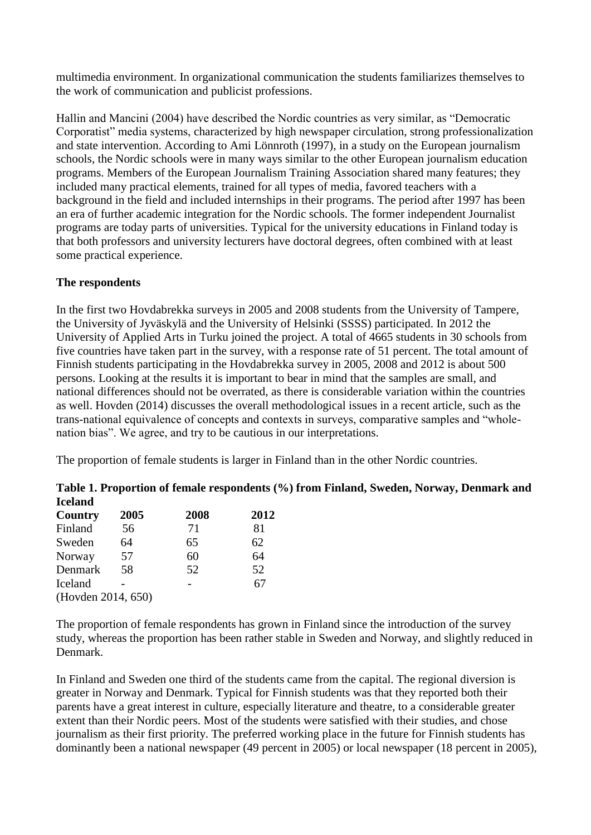multimedia environment. In organizational communication the students familiarizes themselves to the work of communication and publicist professions.

Hallin and Mancini (2004) have described the Nordic countries as very similar, as "Democratic Corporatist" media systems, characterized by high newspaper circulation, strong professionalization and state intervention. According to Ami Lönnroth (1997), in a study on the European journalism schools, the Nordic schools were in many ways similar to the other European journalism education programs. Members of the European Journalism Training Association shared many features; they included many practical elements, trained for all types of media, favored teachers with a background in the field and included internships in their programs. The period after 1997 has been an era of further academic integration for the Nordic schools. The former independent Journalist programs are today parts of universities. Typical for the university educations in Finland today is that both professors and university lecturers have doctoral degrees, often combined with at least some practical experience.

#### **The respondents**

In the first two Hovdabrekka surveys in 2005 and 2008 students from the University of Tampere, the University of Jyväskylä and the University of Helsinki (SSSS) participated. In 2012 the University of Applied Arts in Turku joined the project. A total of 4665 students in 30 schools from five countries have taken part in the survey, with a response rate of 51 percent. The total amount of Finnish students participating in the Hovdabrekka survey in 2005, 2008 and 2012 is about 500 persons. Looking at the results it is important to bear in mind that the samples are small, and national differences should not be overrated, as there is considerable variation within the countries as well. Hovden (2014) discusses the overall methodological issues in a recent article, such as the trans-national equivalence of concepts and contexts in surveys, comparative samples and "wholenation bias". We agree, and try to be cautious in our interpretations.

The proportion of female students is larger in Finland than in the other Nordic countries.

| тестани            |      |      |      |  |
|--------------------|------|------|------|--|
| Country            | 2005 | 2008 | 2012 |  |
| Finland            | 56   | 71   | 81   |  |
| Sweden             | 64   | 65   | 62   |  |
| Norway             | 57   | 60   | 64   |  |
| Denmark            | 58   | 52   | 52   |  |
| Iceland            |      |      | 67   |  |
| (Hovden 2014, 650) |      |      |      |  |
|                    |      |      |      |  |

**Table 1. Proportion of female respondents (%) from Finland, Sweden, Norway, Denmark and Iceland Country 2005 2008 2012**

The proportion of female respondents has grown in Finland since the introduction of the survey study, whereas the proportion has been rather stable in Sweden and Norway, and slightly reduced in Denmark.

In Finland and Sweden one third of the students came from the capital. The regional diversion is greater in Norway and Denmark. Typical for Finnish students was that they reported both their parents have a great interest in culture, especially literature and theatre, to a considerable greater extent than their Nordic peers. Most of the students were satisfied with their studies, and chose journalism as their first priority. The preferred working place in the future for Finnish students has dominantly been a national newspaper (49 percent in 2005) or local newspaper (18 percent in 2005),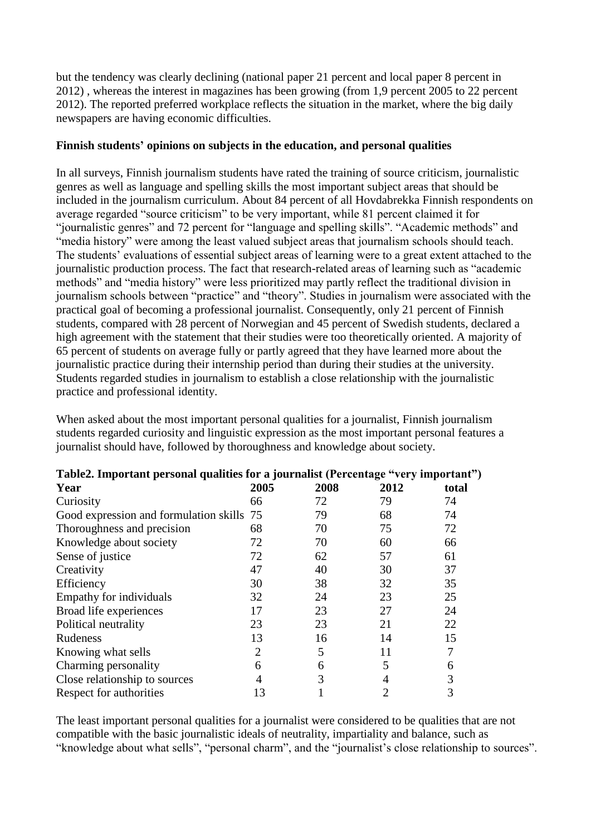but the tendency was clearly declining (national paper 21 percent and local paper 8 percent in 2012) , whereas the interest in magazines has been growing (from 1,9 percent 2005 to 22 percent 2012). The reported preferred workplace reflects the situation in the market, where the big daily newspapers are having economic difficulties.

#### **Finnish students' opinions on subjects in the education, and personal qualities**

In all surveys, Finnish journalism students have rated the training of source criticism, journalistic genres as well as language and spelling skills the most important subject areas that should be included in the journalism curriculum. About 84 percent of all Hovdabrekka Finnish respondents on average regarded "source criticism" to be very important, while 81 percent claimed it for "journalistic genres" and 72 percent for "language and spelling skills". "Academic methods" and "media history" were among the least valued subject areas that journalism schools should teach. The students' evaluations of essential subject areas of learning were to a great extent attached to the journalistic production process. The fact that research-related areas of learning such as "academic methods" and "media history" were less prioritized may partly reflect the traditional division in journalism schools between "practice" and "theory". Studies in journalism were associated with the practical goal of becoming a professional journalist. Consequently, only 21 percent of Finnish students, compared with 28 percent of Norwegian and 45 percent of Swedish students, declared a high agreement with the statement that their studies were too theoretically oriented. A majority of 65 percent of students on average fully or partly agreed that they have learned more about the journalistic practice during their internship period than during their studies at the university. Students regarded studies in journalism to establish a close relationship with the journalistic practice and professional identity.

When asked about the most important personal qualities for a journalist, Finnish journalism students regarded curiosity and linguistic expression as the most important personal features a journalist should have, followed by thoroughness and knowledge about society.

|                                           |      | $1$ abit $2$ , hilpot tant personal quantits for a journalist (1 creentage $\rightarrow$ very important $\rightarrow$ |      |       |  |  |  |  |  |  |  |
|-------------------------------------------|------|-----------------------------------------------------------------------------------------------------------------------|------|-------|--|--|--|--|--|--|--|
| Year                                      | 2005 | 2008                                                                                                                  | 2012 | total |  |  |  |  |  |  |  |
| Curiosity                                 | 66   | 72                                                                                                                    | 79   | 74    |  |  |  |  |  |  |  |
| Good expression and formulation skills 75 |      | 79                                                                                                                    | 68   | 74    |  |  |  |  |  |  |  |
| Thoroughness and precision                | 68   | 70                                                                                                                    | 75   | 72    |  |  |  |  |  |  |  |
| Knowledge about society                   | 72   | 70                                                                                                                    | 60   | 66    |  |  |  |  |  |  |  |
| Sense of justice                          | 72   | 62                                                                                                                    | 57   | 61    |  |  |  |  |  |  |  |
| Creativity                                | 47   | 40                                                                                                                    | 30   | 37    |  |  |  |  |  |  |  |
| Efficiency                                | 30   | 38                                                                                                                    | 32   | 35    |  |  |  |  |  |  |  |
| Empathy for individuals                   | 32   | 24                                                                                                                    | 23   | 25    |  |  |  |  |  |  |  |
| Broad life experiences                    | 17   | 23                                                                                                                    | 27   | 24    |  |  |  |  |  |  |  |
| Political neutrality                      | 23   | 23                                                                                                                    | 21   | 22    |  |  |  |  |  |  |  |
| Rudeness                                  | 13   | 16                                                                                                                    | 14   | 15    |  |  |  |  |  |  |  |
| Knowing what sells                        | 2    | 5                                                                                                                     | 11   | 7     |  |  |  |  |  |  |  |
| Charming personality                      | 6    | 6                                                                                                                     | 5    | 6     |  |  |  |  |  |  |  |
| Close relationship to sources             | 4    | 3                                                                                                                     | 4    | 3     |  |  |  |  |  |  |  |
| Respect for authorities                   | 13   |                                                                                                                       | 2    | 3     |  |  |  |  |  |  |  |

### **Table2. Important personal qualities for a journalist (Percentage "very important")**

The least important personal qualities for a journalist were considered to be qualities that are not compatible with the basic journalistic ideals of neutrality, impartiality and balance, such as "knowledge about what sells", "personal charm", and the "journalist's close relationship to sources".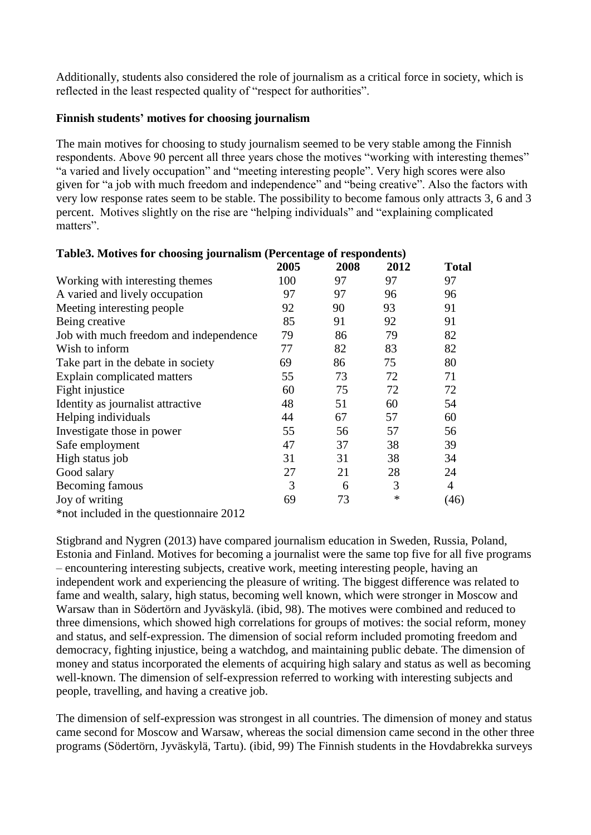Additionally, students also considered the role of journalism as a critical force in society, which is reflected in the least respected quality of "respect for authorities".

#### **Finnish students' motives for choosing journalism**

The main motives for choosing to study journalism seemed to be very stable among the Finnish respondents. Above 90 percent all three years chose the motives "working with interesting themes" "a varied and lively occupation" and "meeting interesting people". Very high scores were also given for "a job with much freedom and independence" and "being creative". Also the factors with very low response rates seem to be stable. The possibility to become famous only attracts 3, 6 and 3 percent. Motives slightly on the rise are "helping individuals" and "explaining complicated matters".

|                                         | 2005 | 2008 | 2012 | <b>Total</b>   |
|-----------------------------------------|------|------|------|----------------|
| Working with interesting themes         | 100  | 97   | 97   | 97             |
| A varied and lively occupation          | 97   | 97   | 96   | 96             |
| Meeting interesting people              | 92   | 90   | 93   | 91             |
| Being creative                          | 85   | 91   | 92   | 91             |
| Job with much freedom and independence  | 79   | 86   | 79   | 82             |
| Wish to inform                          | 77   | 82   | 83   | 82             |
| Take part in the debate in society      | 69   | 86   | 75   | 80             |
| Explain complicated matters             | 55   | 73   | 72   | 71             |
| Fight injustice                         | 60   | 75   | 72   | 72             |
| Identity as journalist attractive       | 48   | 51   | 60   | 54             |
| Helping individuals                     | 44   | 67   | 57   | 60             |
| Investigate those in power              | 55   | 56   | 57   | 56             |
| Safe employment                         | 47   | 37   | 38   | 39             |
| High status job                         | 31   | 31   | 38   | 34             |
| Good salary                             | 27   | 21   | 28   | 24             |
| Becoming famous                         | 3    | 6    | 3    | $\overline{4}$ |
| Joy of writing                          | 69   | 73   | ∗    | (46)           |
| *not included in the question aire 2012 |      |      |      |                |

#### **Table3. Motives for choosing journalism (Percentage of respondents)**

Stigbrand and Nygren (2013) have compared journalism education in Sweden, Russia, Poland, Estonia and Finland. Motives for becoming a journalist were the same top five for all five programs – encountering interesting subjects, creative work, meeting interesting people, having an independent work and experiencing the pleasure of writing. The biggest difference was related to fame and wealth, salary, high status, becoming well known, which were stronger in Moscow and Warsaw than in Södertörn and Jyväskylä. (ibid, 98). The motives were combined and reduced to three dimensions, which showed high correlations for groups of motives: the social reform, money and status, and self-expression. The dimension of social reform included promoting freedom and democracy, fighting injustice, being a watchdog, and maintaining public debate. The dimension of money and status incorporated the elements of acquiring high salary and status as well as becoming well-known. The dimension of self-expression referred to working with interesting subjects and people, travelling, and having a creative job.

The dimension of self-expression was strongest in all countries. The dimension of money and status came second for Moscow and Warsaw, whereas the social dimension came second in the other three programs (Södertörn, Jyväskylä, Tartu). (ibid, 99) The Finnish students in the Hovdabrekka surveys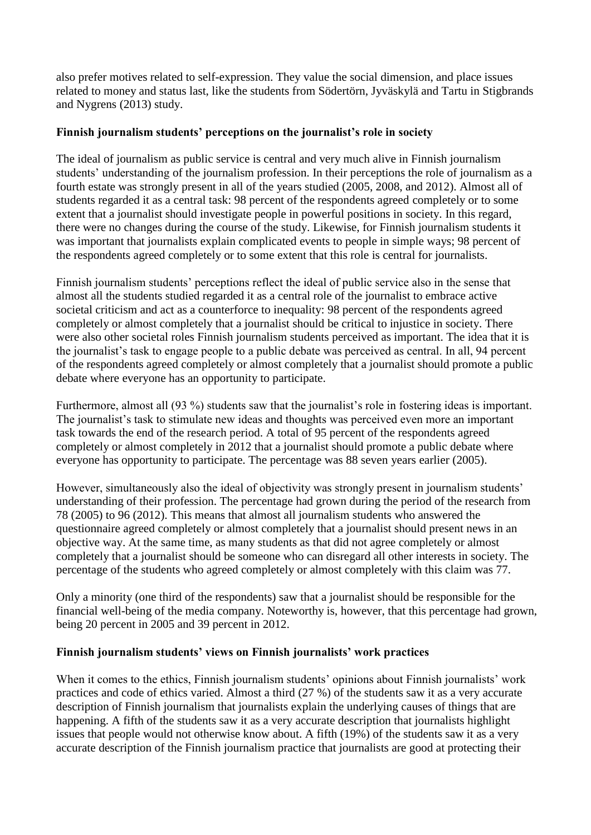also prefer motives related to self-expression. They value the social dimension, and place issues related to money and status last, like the students from Södertörn, Jyväskylä and Tartu in Stigbrands and Nygrens (2013) study.

#### **Finnish journalism students' perceptions on the journalist's role in society**

The ideal of journalism as public service is central and very much alive in Finnish journalism students' understanding of the journalism profession. In their perceptions the role of journalism as a fourth estate was strongly present in all of the years studied (2005, 2008, and 2012). Almost all of students regarded it as a central task: 98 percent of the respondents agreed completely or to some extent that a journalist should investigate people in powerful positions in society. In this regard, there were no changes during the course of the study. Likewise, for Finnish journalism students it was important that journalists explain complicated events to people in simple ways; 98 percent of the respondents agreed completely or to some extent that this role is central for journalists.

Finnish journalism students' perceptions reflect the ideal of public service also in the sense that almost all the students studied regarded it as a central role of the journalist to embrace active societal criticism and act as a counterforce to inequality: 98 percent of the respondents agreed completely or almost completely that a journalist should be critical to injustice in society. There were also other societal roles Finnish journalism students perceived as important. The idea that it is the journalist's task to engage people to a public debate was perceived as central. In all, 94 percent of the respondents agreed completely or almost completely that a journalist should promote a public debate where everyone has an opportunity to participate.

Furthermore, almost all (93 %) students saw that the journalist's role in fostering ideas is important. The journalist's task to stimulate new ideas and thoughts was perceived even more an important task towards the end of the research period. A total of 95 percent of the respondents agreed completely or almost completely in 2012 that a journalist should promote a public debate where everyone has opportunity to participate. The percentage was 88 seven years earlier (2005).

However, simultaneously also the ideal of objectivity was strongly present in journalism students' understanding of their profession. The percentage had grown during the period of the research from 78 (2005) to 96 (2012). This means that almost all journalism students who answered the questionnaire agreed completely or almost completely that a journalist should present news in an objective way. At the same time, as many students as that did not agree completely or almost completely that a journalist should be someone who can disregard all other interests in society. The percentage of the students who agreed completely or almost completely with this claim was 77.

Only a minority (one third of the respondents) saw that a journalist should be responsible for the financial well-being of the media company. Noteworthy is, however, that this percentage had grown, being 20 percent in 2005 and 39 percent in 2012.

#### **Finnish journalism students' views on Finnish journalists' work practices**

When it comes to the ethics, Finnish journalism students' opinions about Finnish journalists' work practices and code of ethics varied. Almost a third (27 %) of the students saw it as a very accurate description of Finnish journalism that journalists explain the underlying causes of things that are happening. A fifth of the students saw it as a very accurate description that journalists highlight issues that people would not otherwise know about. A fifth (19%) of the students saw it as a very accurate description of the Finnish journalism practice that journalists are good at protecting their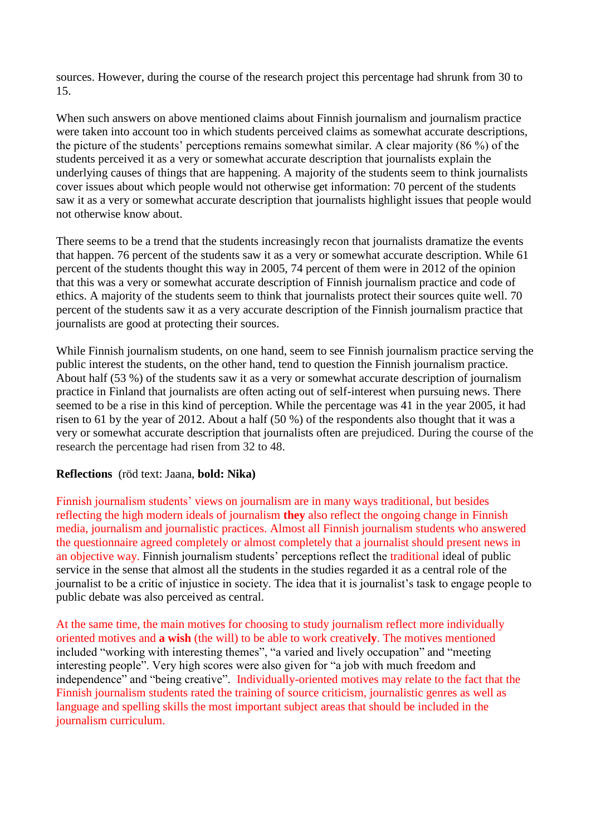sources. However, during the course of the research project this percentage had shrunk from 30 to 15.

When such answers on above mentioned claims about Finnish journalism and journalism practice were taken into account too in which students perceived claims as somewhat accurate descriptions, the picture of the students' perceptions remains somewhat similar. A clear majority (86 %) of the students perceived it as a very or somewhat accurate description that journalists explain the underlying causes of things that are happening. A majority of the students seem to think journalists cover issues about which people would not otherwise get information: 70 percent of the students saw it as a very or somewhat accurate description that journalists highlight issues that people would not otherwise know about.

There seems to be a trend that the students increasingly recon that journalists dramatize the events that happen. 76 percent of the students saw it as a very or somewhat accurate description. While 61 percent of the students thought this way in 2005, 74 percent of them were in 2012 of the opinion that this was a very or somewhat accurate description of Finnish journalism practice and code of ethics. A majority of the students seem to think that journalists protect their sources quite well. 70 percent of the students saw it as a very accurate description of the Finnish journalism practice that journalists are good at protecting their sources.

While Finnish journalism students, on one hand, seem to see Finnish journalism practice serving the public interest the students, on the other hand, tend to question the Finnish journalism practice. About half (53 %) of the students saw it as a very or somewhat accurate description of journalism practice in Finland that journalists are often acting out of self-interest when pursuing news. There seemed to be a rise in this kind of perception. While the percentage was 41 in the year 2005, it had risen to 61 by the year of 2012. About a half (50 %) of the respondents also thought that it was a very or somewhat accurate description that journalists often are prejudiced. During the course of the research the percentage had risen from 32 to 48.

#### **Reflections** (röd text: Jaana, **bold: Nika)**

Finnish journalism students' views on journalism are in many ways traditional, but besides reflecting the high modern ideals of journalism **they** also reflect the ongoing change in Finnish media, journalism and journalistic practices. Almost all Finnish journalism students who answered the questionnaire agreed completely or almost completely that a journalist should present news in an objective way. Finnish journalism students' perceptions reflect the traditional ideal of public service in the sense that almost all the students in the studies regarded it as a central role of the journalist to be a critic of injustice in society. The idea that it is journalist's task to engage people to public debate was also perceived as central.

At the same time, the main motives for choosing to study journalism reflect more individually oriented motives and **a wish** (the will) to be able to work creative**ly**. The motives mentioned included "working with interesting themes", "a varied and lively occupation" and "meeting interesting people". Very high scores were also given for "a job with much freedom and independence" and "being creative". Individually-oriented motives may relate to the fact that the Finnish journalism students rated the training of source criticism, journalistic genres as well as language and spelling skills the most important subject areas that should be included in the journalism curriculum.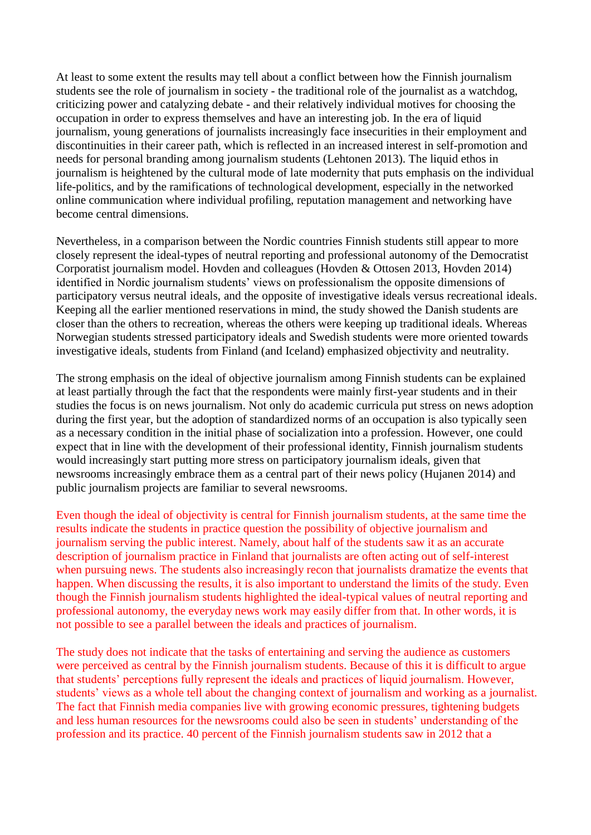At least to some extent the results may tell about a conflict between how the Finnish journalism students see the role of journalism in society - the traditional role of the journalist as a watchdog, criticizing power and catalyzing debate - and their relatively individual motives for choosing the occupation in order to express themselves and have an interesting job. In the era of liquid journalism, young generations of journalists increasingly face insecurities in their employment and discontinuities in their career path, which is reflected in an increased interest in self-promotion and needs for personal branding among journalism students (Lehtonen 2013). The liquid ethos in journalism is heightened by the cultural mode of late modernity that puts emphasis on the individual life-politics, and by the ramifications of technological development, especially in the networked online communication where individual profiling, reputation management and networking have become central dimensions.

Nevertheless, in a comparison between the Nordic countries Finnish students still appear to more closely represent the ideal-types of neutral reporting and professional autonomy of the Democratist Corporatist journalism model. Hovden and colleagues (Hovden & Ottosen 2013, Hovden 2014) identified in Nordic journalism students' views on professionalism the opposite dimensions of participatory versus neutral ideals, and the opposite of investigative ideals versus recreational ideals. Keeping all the earlier mentioned reservations in mind, the study showed the Danish students are closer than the others to recreation, whereas the others were keeping up traditional ideals. Whereas Norwegian students stressed participatory ideals and Swedish students were more oriented towards investigative ideals, students from Finland (and Iceland) emphasized objectivity and neutrality.

The strong emphasis on the ideal of objective journalism among Finnish students can be explained at least partially through the fact that the respondents were mainly first-year students and in their studies the focus is on news journalism. Not only do academic curricula put stress on news adoption during the first year, but the adoption of standardized norms of an occupation is also typically seen as a necessary condition in the initial phase of socialization into a profession. However, one could expect that in line with the development of their professional identity, Finnish journalism students would increasingly start putting more stress on participatory journalism ideals, given that newsrooms increasingly embrace them as a central part of their news policy (Hujanen 2014) and public journalism projects are familiar to several newsrooms.

Even though the ideal of objectivity is central for Finnish journalism students, at the same time the results indicate the students in practice question the possibility of objective journalism and journalism serving the public interest. Namely, about half of the students saw it as an accurate description of journalism practice in Finland that journalists are often acting out of self-interest when pursuing news. The students also increasingly recon that journalists dramatize the events that happen. When discussing the results, it is also important to understand the limits of the study. Even though the Finnish journalism students highlighted the ideal-typical values of neutral reporting and professional autonomy, the everyday news work may easily differ from that. In other words, it is not possible to see a parallel between the ideals and practices of journalism.

The study does not indicate that the tasks of entertaining and serving the audience as customers were perceived as central by the Finnish journalism students. Because of this it is difficult to argue that students' perceptions fully represent the ideals and practices of liquid journalism. However, students' views as a whole tell about the changing context of journalism and working as a journalist. The fact that Finnish media companies live with growing economic pressures, tightening budgets and less human resources for the newsrooms could also be seen in students' understanding of the profession and its practice. 40 percent of the Finnish journalism students saw in 2012 that a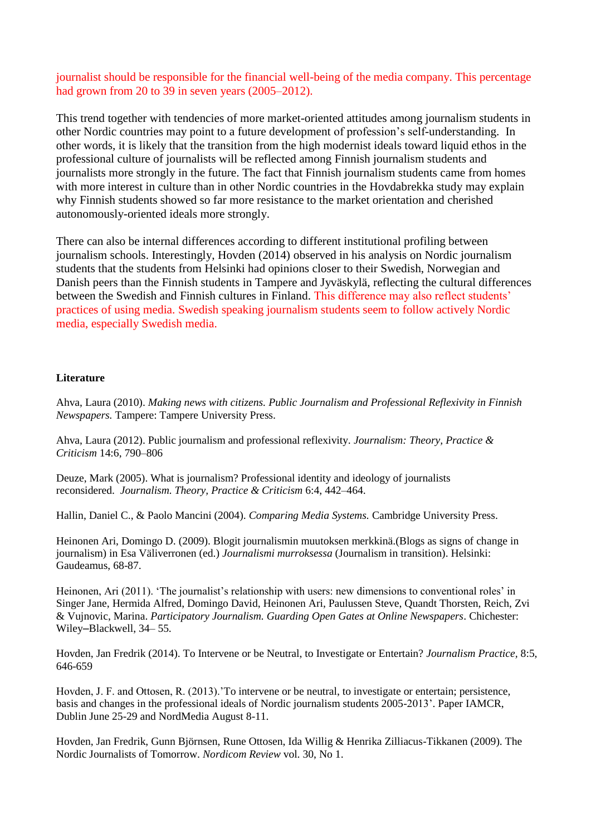journalist should be responsible for the financial well-being of the media company. This percentage had grown from 20 to 39 in seven years (2005–2012).

This trend together with tendencies of more market-oriented attitudes among journalism students in other Nordic countries may point to a future development of profession's self-understanding. In other words, it is likely that the transition from the high modernist ideals toward liquid ethos in the professional culture of journalists will be reflected among Finnish journalism students and journalists more strongly in the future. The fact that Finnish journalism students came from homes with more interest in culture than in other Nordic countries in the Hovdabrekka study may explain why Finnish students showed so far more resistance to the market orientation and cherished autonomously-oriented ideals more strongly.

There can also be internal differences according to different institutional profiling between journalism schools. Interestingly, Hovden (2014) observed in his analysis on Nordic journalism students that the students from Helsinki had opinions closer to their Swedish, Norwegian and Danish peers than the Finnish students in Tampere and Jyväskylä, reflecting the cultural differences between the Swedish and Finnish cultures in Finland. This difference may also reflect students' practices of using media. Swedish speaking journalism students seem to follow actively Nordic media, especially Swedish media.

#### **Literature**

Ahva, Laura (2010). *Making news with citizens. Public Journalism and Professional Reflexivity in Finnish Newspapers.* Tampere: Tampere University Press.

Ahva, Laura (2012). Public journalism and professional reflexivity. *Journalism: Theory, Practice & Criticism* 14:6, 790–806

Deuze, Mark (2005). What is journalism? Professional identity and ideology of journalists reconsidered. *Journalism. Theory, Practice & Criticism* 6:4, 442–464.

Hallin, Daniel C., & Paolo Mancini (2004). *Comparing Media Systems.* Cambridge University Press.

Heinonen Ari, Domingo D. (2009). Blogit journalismin muutoksen merkkinä.(Blogs as signs of change in journalism) in Esa Väliverronen (ed.) *Journalismi murroksessa* (Journalism in transition). Helsinki: Gaudeamus, 68-87.

Heinonen, Ari (2011). 'The journalist's relationship with users: new dimensions to conventional roles' in Singer Jane, Hermida Alfred, Domingo David, Heinonen Ari, Paulussen Steve, Quandt Thorsten, Reich, Zvi & Vujnovic, Marina. *Participatory Journalism. Guarding Open Gates at Online Newspapers*. Chichester: Wiley–Blackwell, 34– 55.

Hovden, Jan Fredrik (2014). To Intervene or be Neutral, to Investigate or Entertain? *Journalism Practice,* 8:5, 646-659

Hovden, J. F. and Ottosen, R. (2013).['To intervene or be neutral, to investigate or entertain; persistence,](http://wp.me/aNw4C-3w) [basis and changes in the professional ideals of Nordic journalism students 2005-2013'.](http://wp.me/aNw4C-3w) Paper IAMCR, Dublin June 25-29 and NordMedia August 8-11.

Hovden, Jan Fredrik, Gunn Björnsen, Rune Ottosen, Ida Willig & Henrika Zilliacus-Tikkanen (2009). The Nordic Journalists of Tomorrow. *Nordicom Review* vol. 30, No 1.